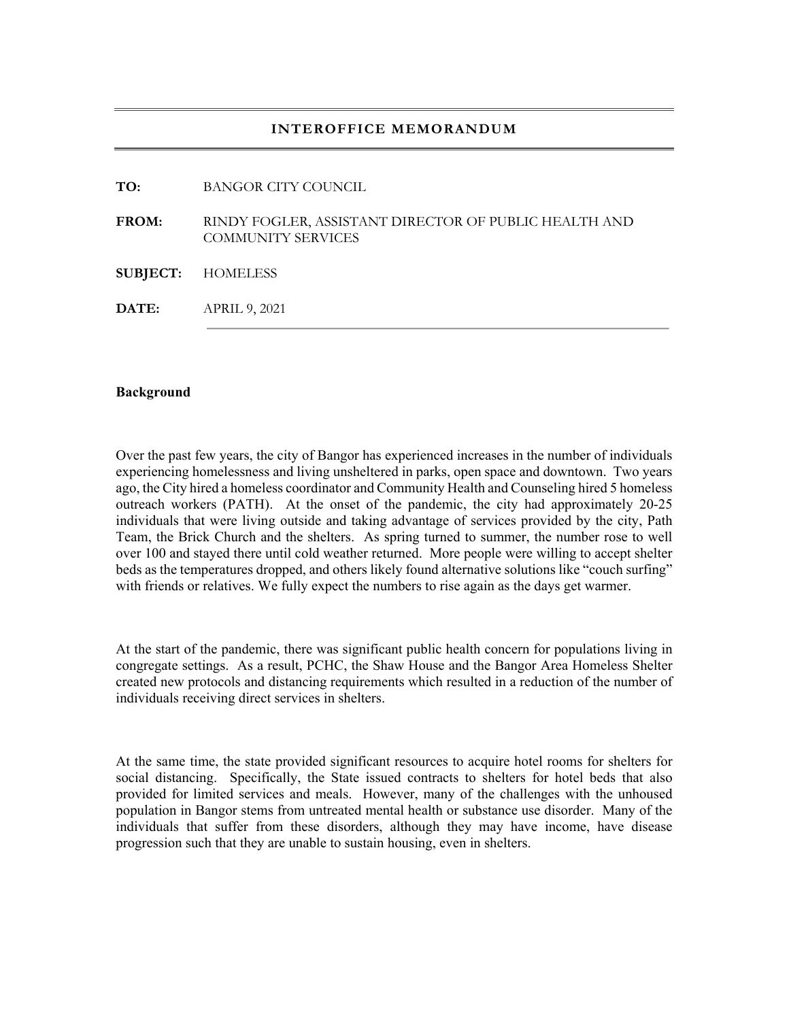### **INTEROFFICE MEMORANDUM**

**TO:** BANGOR CITY COUNCIL

**FROM:** RINDY FOGLER, ASSISTANT DIRECTOR OF PUBLIC HEALTH AND COMMUNITY SERVICES

**SUBJECT:** HOMELESS

**DATE:** APRIL 9, 2021

### **Background**

Over the past few years, the city of Bangor has experienced increases in the number of individuals experiencing homelessness and living unsheltered in parks, open space and downtown. Two years ago, the City hired a homeless coordinator and Community Health and Counseling hired 5 homeless outreach workers (PATH). At the onset of the pandemic, the city had approximately 20-25 individuals that were living outside and taking advantage of services provided by the city, Path Team, the Brick Church and the shelters. As spring turned to summer, the number rose to well over 100 and stayed there until cold weather returned. More people were willing to accept shelter beds as the temperatures dropped, and others likely found alternative solutions like "couch surfing" with friends or relatives. We fully expect the numbers to rise again as the days get warmer.

At the start of the pandemic, there was significant public health concern for populations living in congregate settings. As a result, PCHC, the Shaw House and the Bangor Area Homeless Shelter created new protocols and distancing requirements which resulted in a reduction of the number of individuals receiving direct services in shelters.

At the same time, the state provided significant resources to acquire hotel rooms for shelters for social distancing. Specifically, the State issued contracts to shelters for hotel beds that also provided for limited services and meals. However, many of the challenges with the unhoused population in Bangor stems from untreated mental health or substance use disorder. Many of the individuals that suffer from these disorders, although they may have income, have disease progression such that they are unable to sustain housing, even in shelters.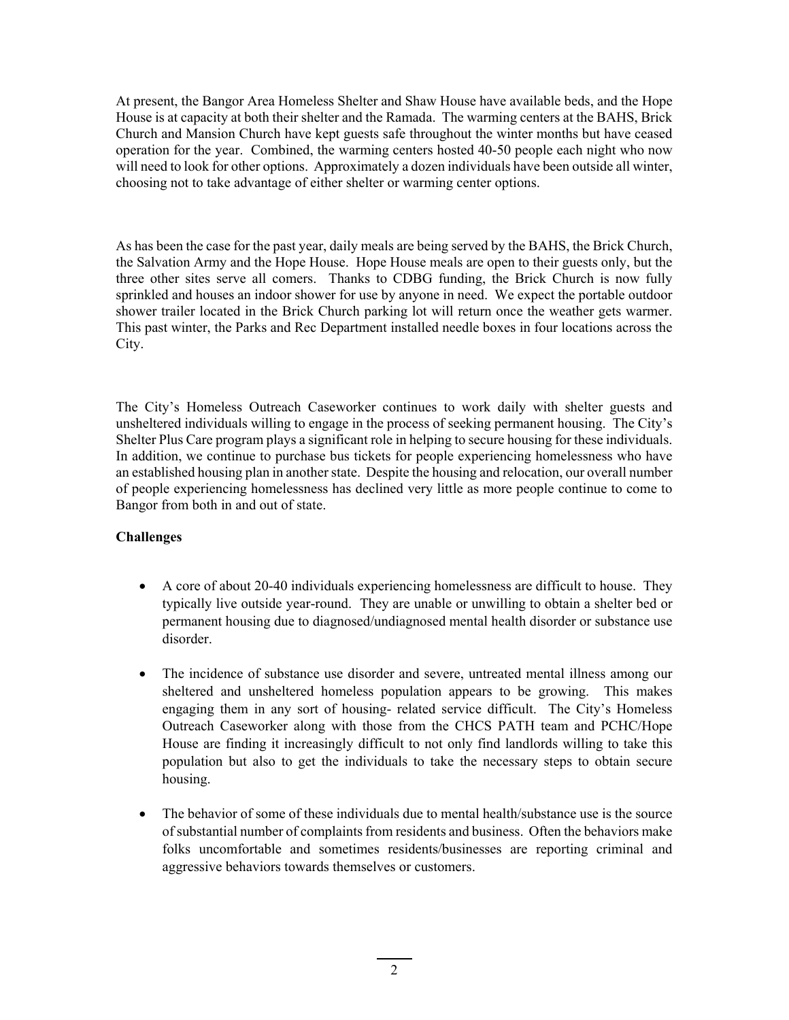At present, the Bangor Area Homeless Shelter and Shaw House have available beds, and the Hope House is at capacity at both their shelter and the Ramada. The warming centers at the BAHS, Brick Church and Mansion Church have kept guests safe throughout the winter months but have ceased operation for the year. Combined, the warming centers hosted 40-50 people each night who now will need to look for other options. Approximately a dozen individuals have been outside all winter, choosing not to take advantage of either shelter or warming center options.

As has been the case for the past year, daily meals are being served by the BAHS, the Brick Church, the Salvation Army and the Hope House. Hope House meals are open to their guests only, but the three other sites serve all comers. Thanks to CDBG funding, the Brick Church is now fully sprinkled and houses an indoor shower for use by anyone in need. We expect the portable outdoor shower trailer located in the Brick Church parking lot will return once the weather gets warmer. This past winter, the Parks and Rec Department installed needle boxes in four locations across the City.

The City's Homeless Outreach Caseworker continues to work daily with shelter guests and unsheltered individuals willing to engage in the process of seeking permanent housing. The City's Shelter Plus Care program plays a significant role in helping to secure housing for these individuals. In addition, we continue to purchase bus tickets for people experiencing homelessness who have an established housing plan in another state. Despite the housing and relocation, our overall number of people experiencing homelessness has declined very little as more people continue to come to Bangor from both in and out of state.

# **Challenges**

- A core of about 20-40 individuals experiencing homelessness are difficult to house. They typically live outside year-round. They are unable or unwilling to obtain a shelter bed or permanent housing due to diagnosed/undiagnosed mental health disorder or substance use disorder.
- The incidence of substance use disorder and severe, untreated mental illness among our sheltered and unsheltered homeless population appears to be growing. This makes engaging them in any sort of housing- related service difficult. The City's Homeless Outreach Caseworker along with those from the CHCS PATH team and PCHC/Hope House are finding it increasingly difficult to not only find landlords willing to take this population but also to get the individuals to take the necessary steps to obtain secure housing.
- The behavior of some of these individuals due to mental health/substance use is the source of substantial number of complaints from residents and business. Often the behaviors make folks uncomfortable and sometimes residents/businesses are reporting criminal and aggressive behaviors towards themselves or customers.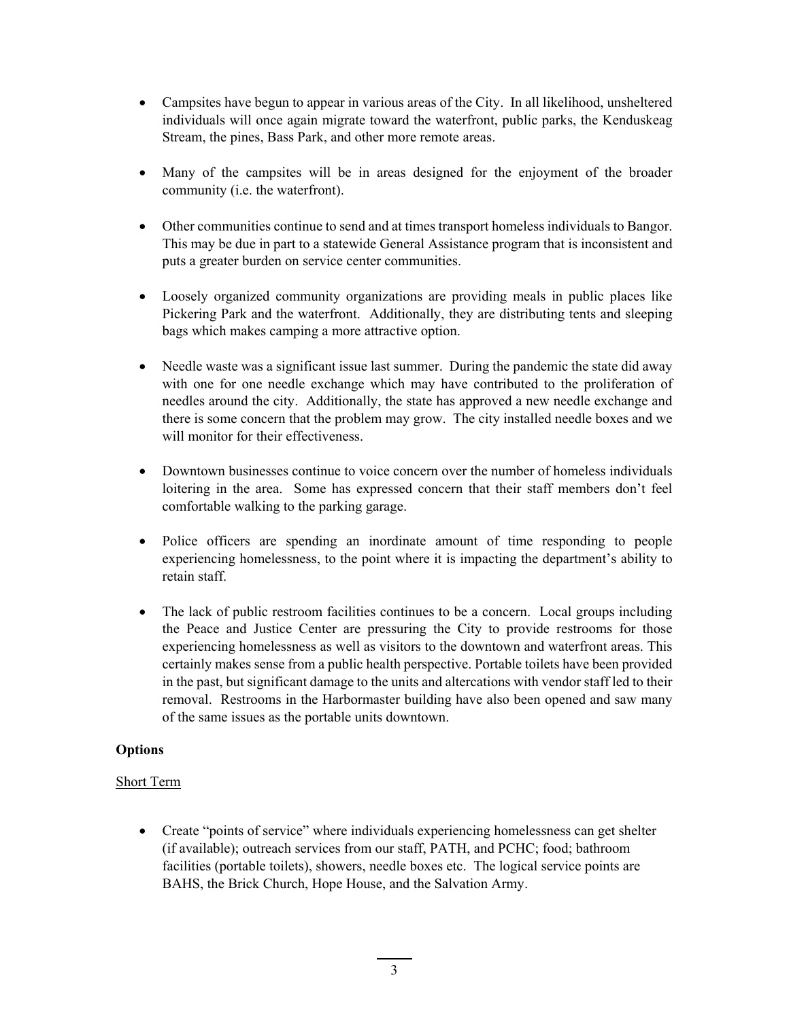- Campsites have begun to appear in various areas of the City. In all likelihood, unsheltered individuals will once again migrate toward the waterfront, public parks, the Kenduskeag Stream, the pines, Bass Park, and other more remote areas.
- Many of the campsites will be in areas designed for the enjoyment of the broader community (i.e. the waterfront).
- Other communities continue to send and at times transport homeless individuals to Bangor. This may be due in part to a statewide General Assistance program that is inconsistent and puts a greater burden on service center communities.
- Loosely organized community organizations are providing meals in public places like Pickering Park and the waterfront. Additionally, they are distributing tents and sleeping bags which makes camping a more attractive option.
- Needle waste was a significant issue last summer. During the pandemic the state did away with one for one needle exchange which may have contributed to the proliferation of needles around the city. Additionally, the state has approved a new needle exchange and there is some concern that the problem may grow. The city installed needle boxes and we will monitor for their effectiveness.
- Downtown businesses continue to voice concern over the number of homeless individuals loitering in the area. Some has expressed concern that their staff members don't feel comfortable walking to the parking garage.
- Police officers are spending an inordinate amount of time responding to people experiencing homelessness, to the point where it is impacting the department's ability to retain staff.
- The lack of public restroom facilities continues to be a concern. Local groups including the Peace and Justice Center are pressuring the City to provide restrooms for those experiencing homelessness as well as visitors to the downtown and waterfront areas. This certainly makes sense from a public health perspective. Portable toilets have been provided in the past, but significant damage to the units and altercations with vendor staff led to their removal. Restrooms in the Harbormaster building have also been opened and saw many of the same issues as the portable units downtown.

# **Options**

# Short Term

 Create "points of service" where individuals experiencing homelessness can get shelter (if available); outreach services from our staff, PATH, and PCHC; food; bathroom facilities (portable toilets), showers, needle boxes etc. The logical service points are BAHS, the Brick Church, Hope House, and the Salvation Army.